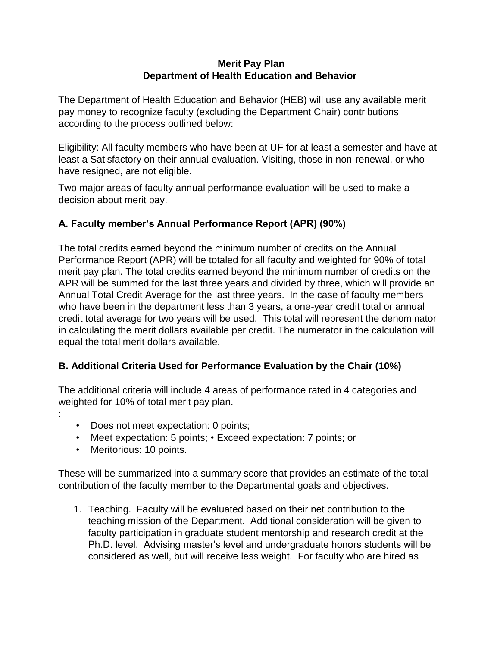#### **Merit Pay Plan Department of Health Education and Behavior**

The Department of Health Education and Behavior (HEB) will use any available merit pay money to recognize faculty (excluding the Department Chair) contributions according to the process outlined below:

Eligibility: All faculty members who have been at UF for at least a semester and have at least a Satisfactory on their annual evaluation. Visiting, those in non-renewal, or who have resigned, are not eligible.

Two major areas of faculty annual performance evaluation will be used to make a decision about merit pay.

# **A. Faculty member's Annual Performance Report (APR) (90%)**

The total credits earned beyond the minimum number of credits on the Annual Performance Report (APR) will be totaled for all faculty and weighted for 90% of total merit pay plan. The total credits earned beyond the minimum number of credits on the APR will be summed for the last three years and divided by three, which will provide an Annual Total Credit Average for the last three years. In the case of faculty members who have been in the department less than 3 years, a one-year credit total or annual credit total average for two years will be used. This total will represent the denominator in calculating the merit dollars available per credit. The numerator in the calculation will equal the total merit dollars available.

# **B. Additional Criteria Used for Performance Evaluation by the Chair (10%)**

The additional criteria will include 4 areas of performance rated in 4 categories and weighted for 10% of total merit pay plan.

- Does not meet expectation: 0 points;
- Meet expectation: 5 points; Exceed expectation: 7 points; or
- Meritorious: 10 points.

:

These will be summarized into a summary score that provides an estimate of the total contribution of the faculty member to the Departmental goals and objectives.

1. Teaching. Faculty will be evaluated based on their net contribution to the teaching mission of the Department. Additional consideration will be given to faculty participation in graduate student mentorship and research credit at the Ph.D. level. Advising master's level and undergraduate honors students will be considered as well, but will receive less weight. For faculty who are hired as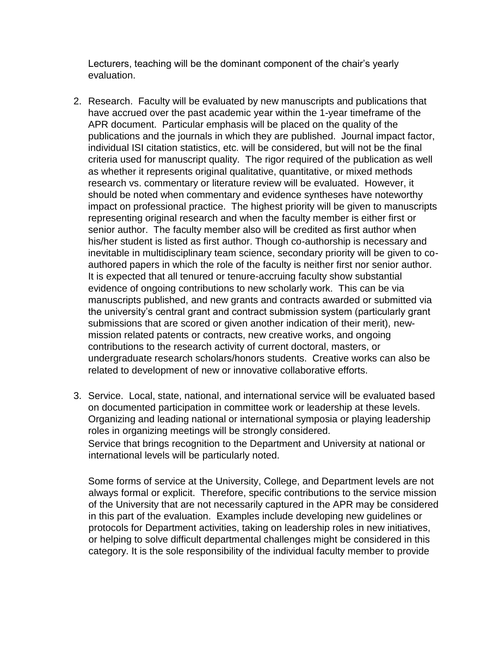Lecturers, teaching will be the dominant component of the chair's yearly evaluation.

- 2. Research. Faculty will be evaluated by new manuscripts and publications that have accrued over the past academic year within the 1-year timeframe of the APR document. Particular emphasis will be placed on the quality of the publications and the journals in which they are published. Journal impact factor, individual ISI citation statistics, etc. will be considered, but will not be the final criteria used for manuscript quality. The rigor required of the publication as well as whether it represents original qualitative, quantitative, or mixed methods research vs. commentary or literature review will be evaluated. However, it should be noted when commentary and evidence syntheses have noteworthy impact on professional practice. The highest priority will be given to manuscripts representing original research and when the faculty member is either first or senior author. The faculty member also will be credited as first author when his/her student is listed as first author. Though co-authorship is necessary and inevitable in multidisciplinary team science, secondary priority will be given to coauthored papers in which the role of the faculty is neither first nor senior author. It is expected that all tenured or tenure-accruing faculty show substantial evidence of ongoing contributions to new scholarly work. This can be via manuscripts published, and new grants and contracts awarded or submitted via the university's central grant and contract submission system (particularly grant submissions that are scored or given another indication of their merit), newmission related patents or contracts, new creative works, and ongoing contributions to the research activity of current doctoral, masters, or undergraduate research scholars/honors students. Creative works can also be related to development of new or innovative collaborative efforts.
- 3. Service. Local, state, national, and international service will be evaluated based on documented participation in committee work or leadership at these levels. Organizing and leading national or international symposia or playing leadership roles in organizing meetings will be strongly considered. Service that brings recognition to the Department and University at national or international levels will be particularly noted.

Some forms of service at the University, College, and Department levels are not always formal or explicit. Therefore, specific contributions to the service mission of the University that are not necessarily captured in the APR may be considered in this part of the evaluation. Examples include developing new guidelines or protocols for Department activities, taking on leadership roles in new initiatives, or helping to solve difficult departmental challenges might be considered in this category. It is the sole responsibility of the individual faculty member to provide